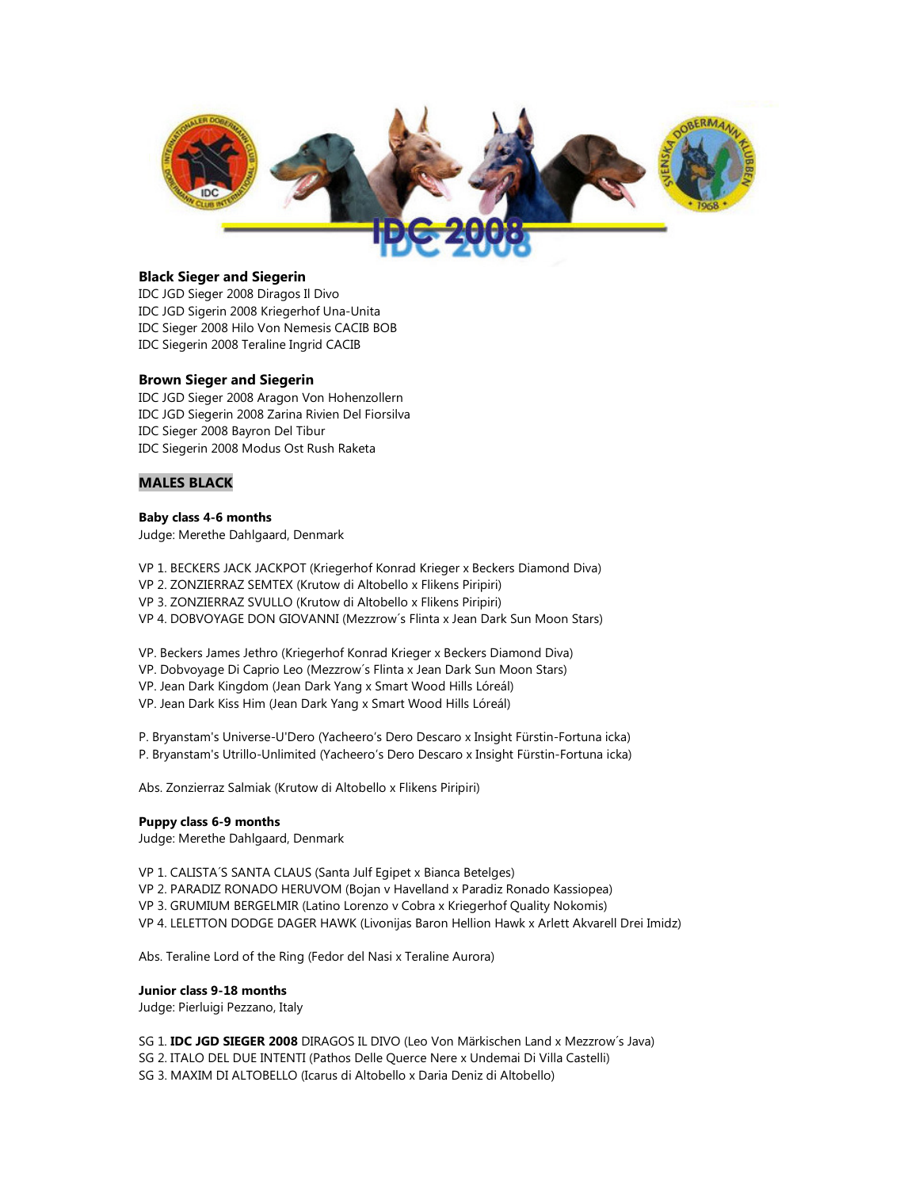

# **Black Sieger and Siegerin**

IDC JGD Sieger 2008 Diragos Il Divo IDC JGD Sigerin 2008 Kriegerhof Una-Unita IDC Sieger 2008 Hilo Von Nemesis CACIB BOB IDC Siegerin 2008 Teraline Ingrid CACIB

# **Brown Sieger and Siegerin**

IDC JGD Sieger 2008 Aragon Von Hohenzollern IDC JGD Siegerin 2008 Zarina Rivien Del Fiorsilva IDC Sieger 2008 Bayron Del Tibur IDC Siegerin 2008 Modus Ost Rush Raketa

# **MALES BLACK**

# **Baby class 4-6 months**

Judge: Merethe Dahlgaard, Denmark

VP 1. BECKERS JACK JACKPOT (Kriegerhof Konrad Krieger x Beckers Diamond Diva) VP 2. ZONZIERRAZ SEMTEX (Krutow di Altobello x Flikens Piripiri) VP 3. ZONZIERRAZ SVULLO (Krutow di Altobello x Flikens Piripiri) VP 4. DOBVOYAGE DON GIOVANNI (Mezzrow´s Flinta x Jean Dark Sun Moon Stars)

VP. Beckers James Jethro (Kriegerhof Konrad Krieger x Beckers Diamond Diva)

VP. Dobvoyage Di Caprio Leo (Mezzrow´s Flinta x Jean Dark Sun Moon Stars)

VP. Jean Dark Kingdom (Jean Dark Yang x Smart Wood Hills Lóreál)

VP. Jean Dark Kiss Him (Jean Dark Yang x Smart Wood Hills Lóreál)

P. Bryanstam's Universe-U'Dero (Yacheero's Dero Descaro x Insight Fürstin-Fortuna icka) P. Bryanstam's Utrillo-Unlimited (Yacheero's Dero Descaro x Insight Fürstin-Fortuna icka)

Abs. Zonzierraz Salmiak (Krutow di Altobello x Flikens Piripiri)

#### **Puppy class 6-9 months**

Judge: Merethe Dahlgaard, Denmark

VP 1. CALISTA´S SANTA CLAUS (Santa Julf Egipet x Bianca Betelges)

VP 2. PARADIZ RONADO HERUVOM (Bojan v Havelland x Paradiz Ronado Kassiopea)

VP 3. GRUMIUM BERGELMIR (Latino Lorenzo v Cobra x Kriegerhof Quality Nokomis)

VP 4. LELETTON DODGE DAGER HAWK (Livonijas Baron Hellion Hawk x Arlett Akvarell Drei Imidz)

Abs. Teraline Lord of the Ring (Fedor del Nasi x Teraline Aurora)

#### **Junior class 9-18 months**

Judge: Pierluigi Pezzano, Italy

SG 1. **IDC JGD SIEGER 2008** DIRAGOS IL DIVO (Leo Von Märkischen Land x Mezzrow´s Java) SG 2. ITALO DEL DUE INTENTI (Pathos Delle Querce Nere x Undemai Di Villa Castelli) SG 3. MAXIM DI ALTOBELLO (Icarus di Altobello x Daria Deniz di Altobello)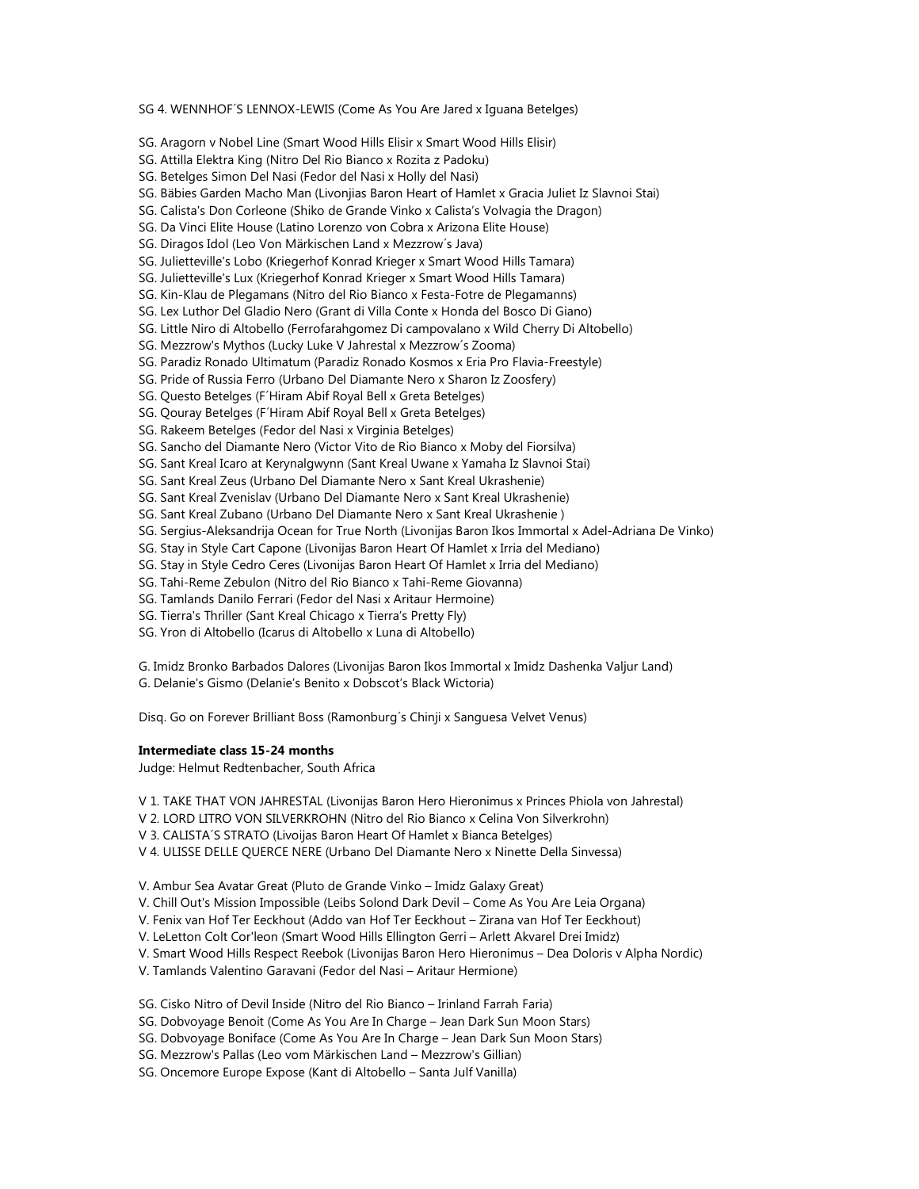SG 4. WENNHOF´S LENNOX-LEWIS (Come As You Are Jared x Iguana Betelges)

SG. Aragorn v Nobel Line (Smart Wood Hills Elisir x Smart Wood Hills Elisir)

SG. Attilla Elektra King (Nitro Del Rio Bianco x Rozita z Padoku)

- SG. Betelges Simon Del Nasi (Fedor del Nasi x Holly del Nasi)
- SG. Bäbies Garden Macho Man (Livonjias Baron Heart of Hamlet x Gracia Juliet Iz Slavnoi Stai)
- SG. Calista's Don Corleone (Shiko de Grande Vinko x Calista's Volvagia the Dragon)
- SG. Da Vinci Elite House (Latino Lorenzo von Cobra x Arizona Elite House)
- SG. Diragos Idol (Leo Von Märkischen Land x Mezzrow´s Java)
- SG. Julietteville's Lobo (Kriegerhof Konrad Krieger x Smart Wood Hills Tamara)
- SG. Julietteville's Lux (Kriegerhof Konrad Krieger x Smart Wood Hills Tamara)
- SG. Kin-Klau de Plegamans (Nitro del Rio Bianco x Festa-Fotre de Plegamanns)
- SG. Lex Luthor Del Gladio Nero (Grant di Villa Conte x Honda del Bosco Di Giano)
- SG. Little Niro di Altobello (Ferrofarahgomez Di campovalano x Wild Cherry Di Altobello)
- SG. Mezzrow's Mythos (Lucky Luke V Jahrestal x Mezzrow´s Zooma)
- SG. Paradiz Ronado Ultimatum (Paradiz Ronado Kosmos x Eria Pro Flavia-Freestyle)
- SG. Pride of Russia Ferro (Urbano Del Diamante Nero x Sharon Iz Zoosfery)
- SG. Questo Betelges (F´Hiram Abif Royal Bell x Greta Betelges)
- SG. Qouray Betelges (F´Hiram Abif Royal Bell x Greta Betelges)
- SG. Rakeem Betelges (Fedor del Nasi x Virginia Betelges)
- SG. Sancho del Diamante Nero (Victor Vito de Rio Bianco x Moby del Fiorsilva)
- SG. Sant Kreal Icaro at Kerynalgwynn (Sant Kreal Uwane x Yamaha Iz Slavnoi Stai)
- SG. Sant Kreal Zeus (Urbano Del Diamante Nero x Sant Kreal Ukrashenie)
- SG. Sant Kreal Zvenislav (Urbano Del Diamante Nero x Sant Kreal Ukrashenie)
- SG. Sant Kreal Zubano (Urbano Del Diamante Nero x Sant Kreal Ukrashenie )
- SG. Sergius-Aleksandrija Ocean for True North (Livonijas Baron Ikos Immortal x Adel-Adriana De Vinko)
- SG. Stay in Style Cart Capone (Livonijas Baron Heart Of Hamlet x Irria del Mediano)
- SG. Stay in Style Cedro Ceres (Livonijas Baron Heart Of Hamlet x Irria del Mediano)
- SG. Tahi-Reme Zebulon (Nitro del Rio Bianco x Tahi-Reme Giovanna)
- SG. Tamlands Danilo Ferrari (Fedor del Nasi x Aritaur Hermoine)
- SG. Tierra's Thriller (Sant Kreal Chicago x Tierra's Pretty Fly)
- SG. Yron di Altobello (Icarus di Altobello x Luna di Altobello)
- G. Imidz Bronko Barbados Dalores (Livonijas Baron Ikos Immortal x Imidz Dashenka Valjur Land)
- G. Delanie's Gismo (Delanie's Benito x Dobscot's Black Wictoria)

Disq. Go on Forever Brilliant Boss (Ramonburg´s Chinji x Sanguesa Velvet Venus)

#### **Intermediate class 15-24 months**

Judge: Helmut Redtenbacher, South Africa

- V 1. TAKE THAT VON JAHRESTAL (Livonijas Baron Hero Hieronimus x Princes Phiola von Jahrestal)
- V 2. LORD LITRO VON SILVERKROHN (Nitro del Rio Bianco x Celina Von Silverkrohn)
- V 3. CALISTA´S STRATO (Livoijas Baron Heart Of Hamlet x Bianca Betelges)
- V 4. ULISSE DELLE QUERCE NERE (Urbano Del Diamante Nero x Ninette Della Sinvessa)
- V. Ambur Sea Avatar Great (Pluto de Grande Vinko Imidz Galaxy Great)
- V. Chill Out's Mission Impossible (Leibs Solond Dark Devil Come As You Are Leia Organa)
- V. Fenix van Hof Ter Eeckhout (Addo van Hof Ter Eeckhout Zirana van Hof Ter Eeckhout)
- V. LeLetton Colt Cor'leon (Smart Wood Hills Ellington Gerri Arlett Akvarel Drei Imidz)
- V. Smart Wood Hills Respect Reebok (Livonijas Baron Hero Hieronimus Dea Doloris v Alpha Nordic)
- V. Tamlands Valentino Garavani (Fedor del Nasi Aritaur Hermione)
- SG. Cisko Nitro of Devil Inside (Nitro del Rio Bianco Irinland Farrah Faria)
- SG. Dobvoyage Benoit (Come As You Are In Charge Jean Dark Sun Moon Stars)
- SG. Dobvoyage Boniface (Come As You Are In Charge Jean Dark Sun Moon Stars)
- SG. Mezzrow's Pallas (Leo vom Märkischen Land Mezzrow's Gillian)
- SG. Oncemore Europe Expose (Kant di Altobello Santa Julf Vanilla)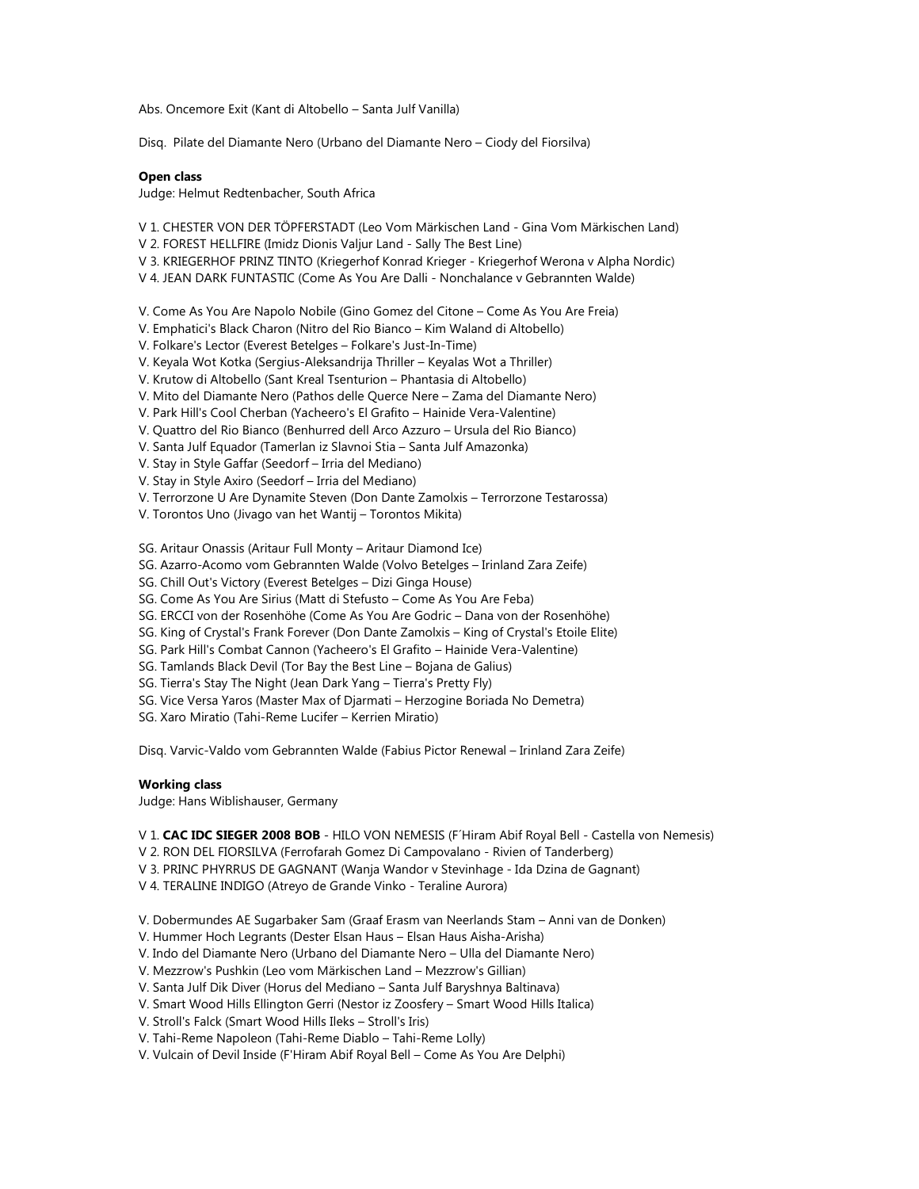Abs. Oncemore Exit (Kant di Altobello – Santa Julf Vanilla)

Disq. Pilate del Diamante Nero (Urbano del Diamante Nero – Ciody del Fiorsilva)

# **Open class**

Judge: Helmut Redtenbacher, South Africa

- V 1. CHESTER VON DER TÖPFERSTADT (Leo Vom Märkischen Land Gina Vom Märkischen Land)
- V 2. FOREST HELLFIRE (Imidz Dionis Valjur Land Sally The Best Line)
- V 3. KRIEGERHOF PRINZ TINTO (Kriegerhof Konrad Krieger Kriegerhof Werona v Alpha Nordic)
- V 4. JEAN DARK FUNTASTIC (Come As You Are Dalli Nonchalance v Gebrannten Walde)
- V. Come As You Are Napolo Nobile (Gino Gomez del Citone Come As You Are Freia)
- V. Emphatici's Black Charon (Nitro del Rio Bianco Kim Waland di Altobello)
- V. Folkare's Lector (Everest Betelges Folkare's Just-In-Time)
- V. Keyala Wot Kotka (Sergius-Aleksandrija Thriller Keyalas Wot a Thriller)
- V. Krutow di Altobello (Sant Kreal Tsenturion Phantasia di Altobello)
- V. Mito del Diamante Nero (Pathos delle Querce Nere Zama del Diamante Nero)
- V. Park Hill's Cool Cherban (Yacheero's El Grafito Hainide Vera-Valentine)
- V. Quattro del Rio Bianco (Benhurred dell Arco Azzuro Ursula del Rio Bianco)
- V. Santa Julf Equador (Tamerlan iz Slavnoi Stia Santa Julf Amazonka)
- V. Stay in Style Gaffar (Seedorf Irria del Mediano)
- V. Stay in Style Axiro (Seedorf Irria del Mediano)
- V. Terrorzone U Are Dynamite Steven (Don Dante Zamolxis Terrorzone Testarossa)
- V. Torontos Uno (Jivago van het Wantij Torontos Mikita)

SG. Aritaur Onassis (Aritaur Full Monty – Aritaur Diamond Ice)

- SG. Azarro-Acomo vom Gebrannten Walde (Volvo Betelges Irinland Zara Zeife)
- SG. Chill Out's Victory (Everest Betelges Dizi Ginga House)
- SG. Come As You Are Sirius (Matt di Stefusto Come As You Are Feba)
- SG. ERCCI von der Rosenhöhe (Come As You Are Godric Dana von der Rosenhöhe)
- SG. King of Crystal's Frank Forever (Don Dante Zamolxis King of Crystal's Etoile Elite)
- SG. Park Hill's Combat Cannon (Yacheero's El Grafito Hainide Vera-Valentine)
- SG. Tamlands Black Devil (Tor Bay the Best Line Bojana de Galius)
- SG. Tierra's Stay The Night (Jean Dark Yang Tierra's Pretty Fly)
- SG. Vice Versa Yaros (Master Max of Djarmati Herzogine Boriada No Demetra)
- SG. Xaro Miratio (Tahi-Reme Lucifer Kerrien Miratio)

Disq. Varvic-Valdo vom Gebrannten Walde (Fabius Pictor Renewal – Irinland Zara Zeife)

# **Working class**

Judge: Hans Wiblishauser, Germany

## V 1. **CAC IDC SIEGER 2008 BOB** - HILO VON NEMESIS (F´Hiram Abif Royal Bell - Castella von Nemesis)

- V 2. RON DEL FIORSILVA (Ferrofarah Gomez Di Campovalano Rivien of Tanderberg)
- V 3. PRINC PHYRRUS DE GAGNANT (Wanja Wandor v Stevinhage Ida Dzina de Gagnant)
- V 4. TERALINE INDIGO (Atreyo de Grande Vinko Teraline Aurora)
- V. Dobermundes AE Sugarbaker Sam (Graaf Erasm van Neerlands Stam Anni van de Donken)
- V. Hummer Hoch Legrants (Dester Elsan Haus Elsan Haus Aisha-Arisha)
- V. Indo del Diamante Nero (Urbano del Diamante Nero Ulla del Diamante Nero)
- V. Mezzrow's Pushkin (Leo vom Märkischen Land Mezzrow's Gillian)
- V. Santa Julf Dik Diver (Horus del Mediano Santa Julf Baryshnya Baltinava)
- V. Smart Wood Hills Ellington Gerri (Nestor iz Zoosfery Smart Wood Hills Italica)
- V. Stroll's Falck (Smart Wood Hills Ileks Stroll's Iris)
- V. Tahi-Reme Napoleon (Tahi-Reme Diablo Tahi-Reme Lolly)
- V. Vulcain of Devil Inside (F'Hiram Abif Royal Bell Come As You Are Delphi)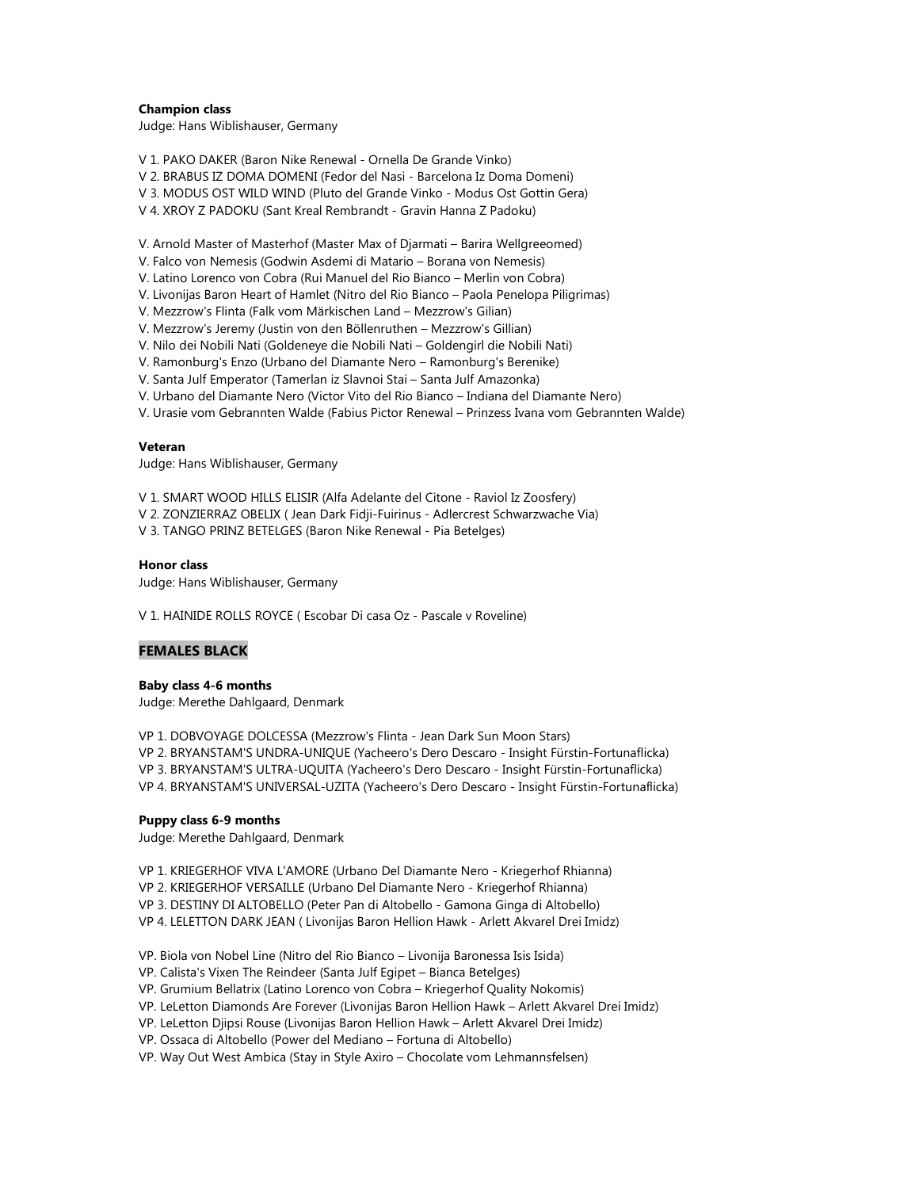# **Champion class**

Judge: Hans Wiblishauser, Germany

V 1. PAKO DAKER (Baron Nike Renewal - Ornella De Grande Vinko)

V 2. BRABUS IZ DOMA DOMENI (Fedor del Nasi - Barcelona Iz Doma Domeni)

V 3. MODUS OST WILD WIND (Pluto del Grande Vinko - Modus Ost Gottin Gera)

V 4. XROY Z PADOKU (Sant Kreal Rembrandt - Gravin Hanna Z Padoku)

V. Arnold Master of Masterhof (Master Max of Djarmati – Barira Wellgreeomed)

V. Falco von Nemesis (Godwin Asdemi di Matario – Borana von Nemesis)

V. Latino Lorenco von Cobra (Rui Manuel del Rio Bianco – Merlin von Cobra)

V. Livonijas Baron Heart of Hamlet (Nitro del Rio Bianco – Paola Penelopa Piligrimas)

V. Mezzrow's Flinta (Falk vom Märkischen Land – Mezzrow's Gilian)

V. Mezzrow's Jeremy (Justin von den Böllenruthen – Mezzrow's Gillian)

V. Nilo dei Nobili Nati (Goldeneye die Nobili Nati – Goldengirl die Nobili Nati)

V. Ramonburg's Enzo (Urbano del Diamante Nero – Ramonburg's Berenike)

V. Santa Julf Emperator (Tamerlan iz Slavnoi Stai – Santa Julf Amazonka)

V. Urbano del Diamante Nero (Victor Vito del Rio Bianco – Indiana del Diamante Nero)

V. Urasie vom Gebrannten Walde (Fabius Pictor Renewal – Prinzess Ivana vom Gebrannten Walde)

#### **Veteran**

Judge: Hans Wiblishauser, Germany

V 1. SMART WOOD HILLS ELISIR (Alfa Adelante del Citone - Raviol Iz Zoosfery)

V 2. ZONZIERRAZ OBELIX ( Jean Dark Fidji-Fuirinus - Adlercrest Schwarzwache Via)

V 3. TANGO PRINZ BETELGES (Baron Nike Renewal - Pia Betelges)

# **Honor class**

Judge: Hans Wiblishauser, Germany

V 1. HAINIDE ROLLS ROYCE ( Escobar Di casa Oz - Pascale v Roveline)

# **FEMALES BLACK**

## **Baby class 4-6 months**

Judge: Merethe Dahlgaard, Denmark

VP 1. DOBVOYAGE DOLCESSA (Mezzrow's Flinta - Jean Dark Sun Moon Stars) VP 2. BRYANSTAM'S UNDRA-UNIQUE (Yacheero's Dero Descaro - Insight Fürstin-Fortunaflicka) VP 3. BRYANSTAM'S ULTRA-UQUITA (Yacheero's Dero Descaro - Insight Fürstin-Fortunaflicka) VP 4. BRYANSTAM'S UNIVERSAL-UZITA (Yacheero's Dero Descaro - Insight Fürstin-Fortunaflicka)

#### **Puppy class 6-9 months**

Judge: Merethe Dahlgaard, Denmark

VP 1. KRIEGERHOF VIVA L'AMORE (Urbano Del Diamante Nero - Kriegerhof Rhianna)

VP 2. KRIEGERHOF VERSAILLE (Urbano Del Diamante Nero - Kriegerhof Rhianna)

VP 3. DESTINY DI ALTOBELLO (Peter Pan di Altobello - Gamona Ginga di Altobello)

VP 4. LELETTON DARK JEAN ( Livonijas Baron Hellion Hawk - Arlett Akvarel Drei Imidz)

VP. Biola von Nobel Line (Nitro del Rio Bianco – Livonija Baronessa Isis Isida)

VP. Calista's Vixen The Reindeer (Santa Julf Egipet – Bianca Betelges)

VP. Grumium Bellatrix (Latino Lorenco von Cobra – Kriegerhof Quality Nokomis)

VP. LeLetton Diamonds Are Forever (Livonijas Baron Hellion Hawk – Arlett Akvarel Drei Imidz)

VP. LeLetton Djipsi Rouse (Livonijas Baron Hellion Hawk – Arlett Akvarel Drei Imidz)

VP. Ossaca di Altobello (Power del Mediano – Fortuna di Altobello)

VP. Way Out West Ambica (Stay in Style Axiro – Chocolate vom Lehmannsfelsen)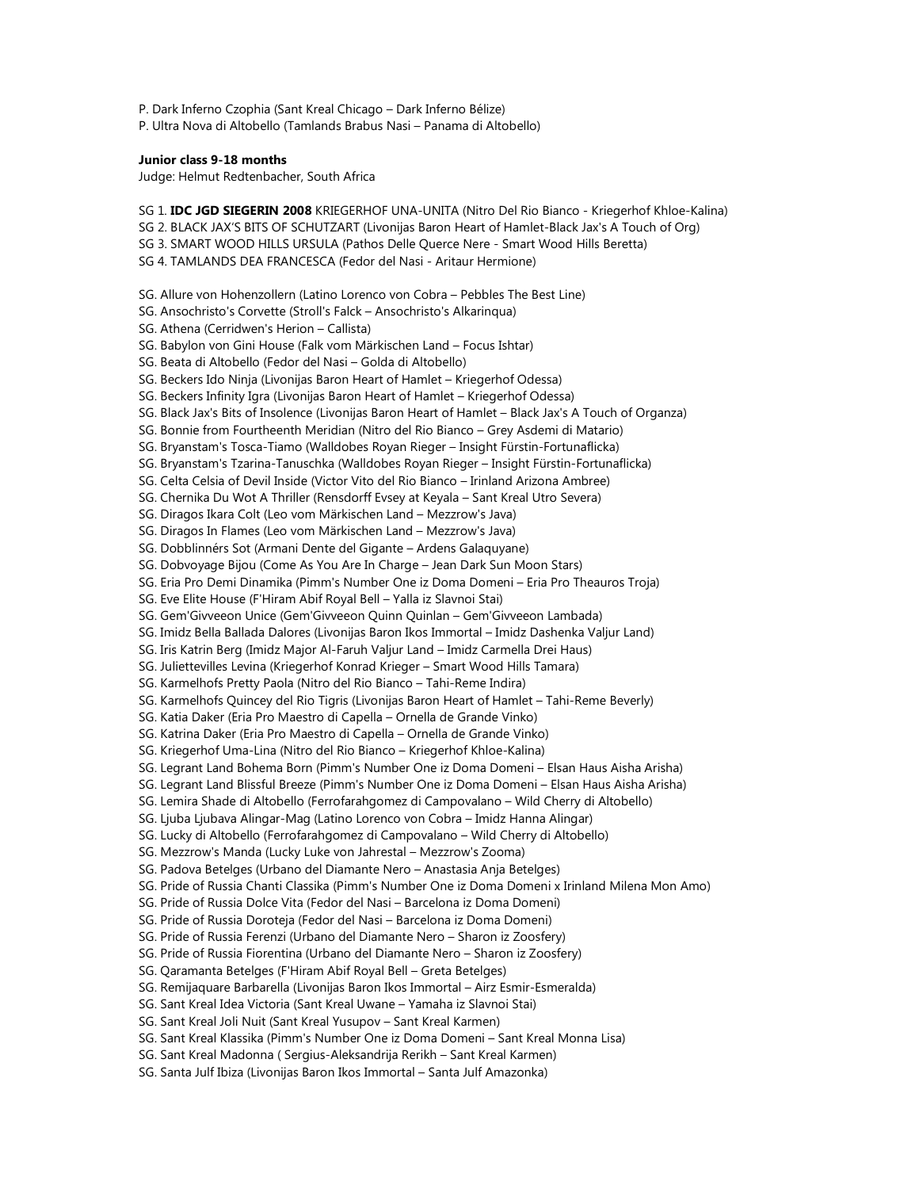P. Dark Inferno Czophia (Sant Kreal Chicago – Dark Inferno Bélize) P. Ultra Nova di Altobello (Tamlands Brabus Nasi – Panama di Altobello)

## **Junior class 9-18 months**

Judge: Helmut Redtenbacher, South Africa

SG 1. **IDC JGD SIEGERIN 2008** KRIEGERHOF UNA-UNITA (Nitro Del Rio Bianco - Kriegerhof Khloe-Kalina) SG 2. BLACK JAX'S BITS OF SCHUTZART (Livonijas Baron Heart of Hamlet-Black Jax's A Touch of Org) SG 3. SMART WOOD HILLS URSULA (Pathos Delle Querce Nere - Smart Wood Hills Beretta) SG 4. TAMLANDS DEA FRANCESCA (Fedor del Nasi - Aritaur Hermione) SG. Allure von Hohenzollern (Latino Lorenco von Cobra – Pebbles The Best Line) SG. Ansochristo's Corvette (Stroll's Falck – Ansochristo's Alkarinqua) SG. Athena (Cerridwen's Herion – Callista) SG. Babylon von Gini House (Falk vom Märkischen Land – Focus Ishtar) SG. Beata di Altobello (Fedor del Nasi – Golda di Altobello) SG. Beckers Ido Ninja (Livonijas Baron Heart of Hamlet – Kriegerhof Odessa) SG. Beckers Infinity Igra (Livonijas Baron Heart of Hamlet – Kriegerhof Odessa) SG. Black Jax's Bits of Insolence (Livonijas Baron Heart of Hamlet – Black Jax's A Touch of Organza) SG. Bonnie from Fourtheenth Meridian (Nitro del Rio Bianco – Grey Asdemi di Matario) SG. Bryanstam's Tosca-Tiamo (Walldobes Royan Rieger – Insight Fürstin-Fortunaflicka) SG. Bryanstam's Tzarina-Tanuschka (Walldobes Royan Rieger – Insight Fürstin-Fortunaflicka) SG. Celta Celsia of Devil Inside (Victor Vito del Rio Bianco – Irinland Arizona Ambree) SG. Chernika Du Wot A Thriller (Rensdorff Evsey at Keyala – Sant Kreal Utro Severa) SG. Diragos Ikara Colt (Leo vom Märkischen Land – Mezzrow's Java) SG. Diragos In Flames (Leo vom Märkischen Land – Mezzrow's Java) SG. Dobblinnérs Sot (Armani Dente del Gigante – Ardens Galaquyane) SG. Dobvoyage Bijou (Come As You Are In Charge – Jean Dark Sun Moon Stars) SG. Eria Pro Demi Dinamika (Pimm's Number One iz Doma Domeni – Eria Pro Theauros Troja) SG. Eve Elite House (F'Hiram Abif Royal Bell – Yalla iz Slavnoi Stai) SG. Gem'Givveeon Unice (Gem'Givveeon Quinn Quinlan – Gem'Givveeon Lambada) SG. Imidz Bella Ballada Dalores (Livonijas Baron Ikos Immortal – Imidz Dashenka Valjur Land) SG. Iris Katrin Berg (Imidz Major Al-Faruh Valjur Land – Imidz Carmella Drei Haus) SG. Juliettevilles Levina (Kriegerhof Konrad Krieger – Smart Wood Hills Tamara) SG. Karmelhofs Pretty Paola (Nitro del Rio Bianco – Tahi-Reme Indira) SG. Karmelhofs Quincey del Rio Tigris (Livonijas Baron Heart of Hamlet – Tahi-Reme Beverly) SG. Katia Daker (Eria Pro Maestro di Capella – Ornella de Grande Vinko) SG. Katrina Daker (Eria Pro Maestro di Capella – Ornella de Grande Vinko) SG. Kriegerhof Uma-Lina (Nitro del Rio Bianco – Kriegerhof Khloe-Kalina) SG. Legrant Land Bohema Born (Pimm's Number One iz Doma Domeni – Elsan Haus Aisha Arisha) SG. Legrant Land Blissful Breeze (Pimm's Number One iz Doma Domeni – Elsan Haus Aisha Arisha) SG. Lemira Shade di Altobello (Ferrofarahgomez di Campovalano – Wild Cherry di Altobello) SG. Ljuba Ljubava Alingar-Mag (Latino Lorenco von Cobra – Imidz Hanna Alingar) SG. Lucky di Altobello (Ferrofarahgomez di Campovalano – Wild Cherry di Altobello) SG. Mezzrow's Manda (Lucky Luke von Jahrestal – Mezzrow's Zooma) SG. Padova Betelges (Urbano del Diamante Nero – Anastasia Anja Betelges) SG. Pride of Russia Chanti Classika (Pimm's Number One iz Doma Domeni x Irinland Milena Mon Amo) SG. Pride of Russia Dolce Vita (Fedor del Nasi – Barcelona iz Doma Domeni) SG. Pride of Russia Doroteja (Fedor del Nasi – Barcelona iz Doma Domeni) SG. Pride of Russia Ferenzi (Urbano del Diamante Nero – Sharon iz Zoosfery) SG. Pride of Russia Fiorentina (Urbano del Diamante Nero – Sharon iz Zoosfery) SG. Qaramanta Betelges (F'Hiram Abif Royal Bell – Greta Betelges) SG. Remijaquare Barbarella (Livonijas Baron Ikos Immortal – Airz Esmir-Esmeralda) SG. Sant Kreal Idea Victoria (Sant Kreal Uwane – Yamaha iz Slavnoi Stai) SG. Sant Kreal Joli Nuit (Sant Kreal Yusupov – Sant Kreal Karmen) SG. Sant Kreal Klassika (Pimm's Number One iz Doma Domeni – Sant Kreal Monna Lisa) SG. Sant Kreal Madonna ( Sergius-Aleksandrija Rerikh – Sant Kreal Karmen) SG. Santa Julf Ibiza (Livonijas Baron Ikos Immortal – Santa Julf Amazonka)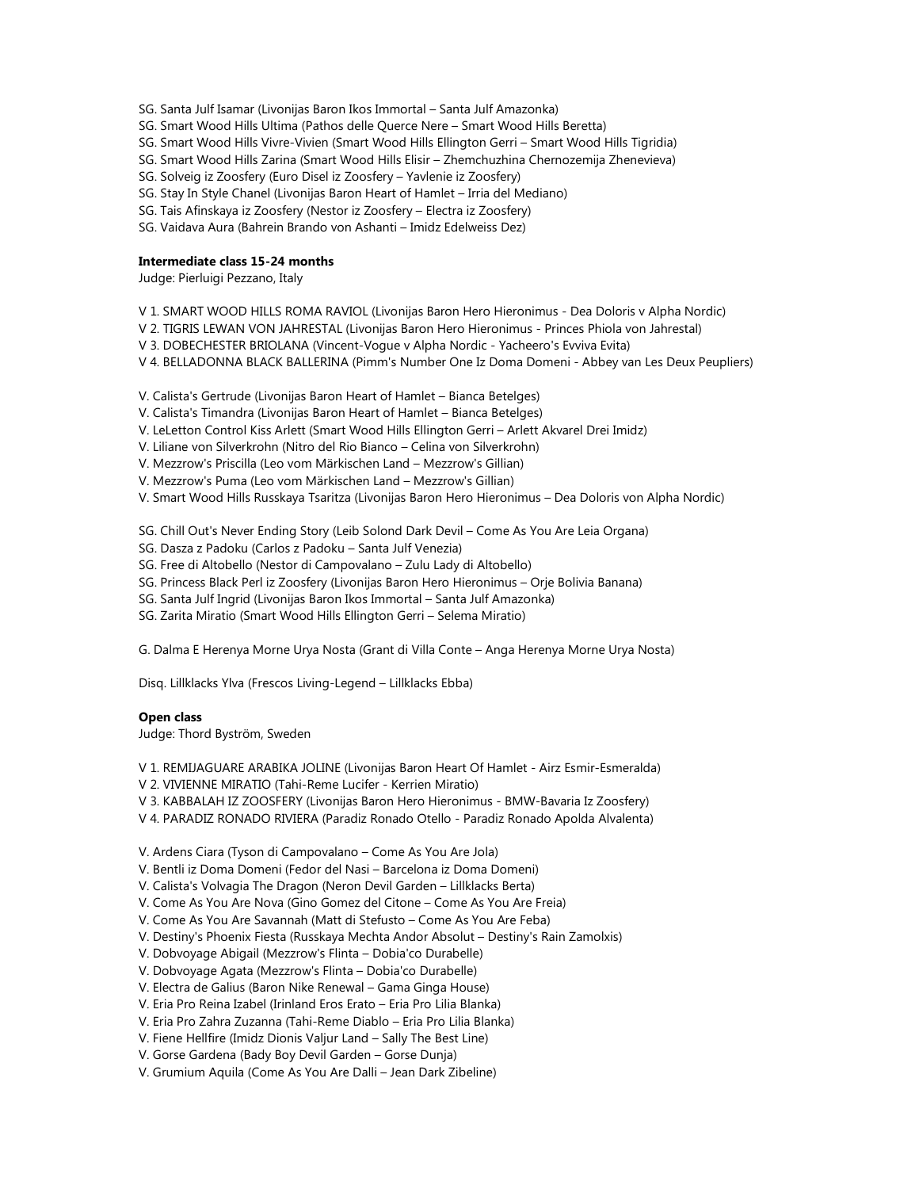- SG. Santa Julf Isamar (Livonijas Baron Ikos Immortal Santa Julf Amazonka)
- SG. Smart Wood Hills Ultima (Pathos delle Querce Nere Smart Wood Hills Beretta)
- SG. Smart Wood Hills Vivre-Vivien (Smart Wood Hills Ellington Gerri Smart Wood Hills Tigridia)
- SG. Smart Wood Hills Zarina (Smart Wood Hills Elisir Zhemchuzhina Chernozemija Zhenevieva)
- SG. Solveig iz Zoosfery (Euro Disel iz Zoosfery Yavlenie iz Zoosfery)
- SG. Stay In Style Chanel (Livonijas Baron Heart of Hamlet Irria del Mediano)
- SG. Tais Afinskaya iz Zoosfery (Nestor iz Zoosfery Electra iz Zoosfery)
- SG. Vaidava Aura (Bahrein Brando von Ashanti Imidz Edelweiss Dez)

#### **Intermediate class 15-24 months**

Judge: Pierluigi Pezzano, Italy

- V 1. SMART WOOD HILLS ROMA RAVIOL (Livonijas Baron Hero Hieronimus Dea Doloris v Alpha Nordic)
- V 2. TIGRIS LEWAN VON JAHRESTAL (Livonijas Baron Hero Hieronimus Princes Phiola von Jahrestal)
- V 3. DOBECHESTER BRIOLANA (Vincent-Vogue v Alpha Nordic Yacheero's Evviva Evita)
- V 4. BELLADONNA BLACK BALLERINA (Pimm's Number One Iz Doma Domeni Abbey van Les Deux Peupliers)
- V. Calista's Gertrude (Livonijas Baron Heart of Hamlet Bianca Betelges)
- V. Calista's Timandra (Livonijas Baron Heart of Hamlet Bianca Betelges)
- V. LeLetton Control Kiss Arlett (Smart Wood Hills Ellington Gerri Arlett Akvarel Drei Imidz)
- V. Liliane von Silverkrohn (Nitro del Rio Bianco Celina von Silverkrohn)
- V. Mezzrow's Priscilla (Leo vom Märkischen Land Mezzrow's Gillian)
- V. Mezzrow's Puma (Leo vom Märkischen Land Mezzrow's Gillian)
- V. Smart Wood Hills Russkaya Tsaritza (Livonijas Baron Hero Hieronimus Dea Doloris von Alpha Nordic)

SG. Chill Out's Never Ending Story (Leib Solond Dark Devil – Come As You Are Leia Organa)

- SG. Dasza z Padoku (Carlos z Padoku Santa Julf Venezia)
- SG. Free di Altobello (Nestor di Campovalano Zulu Lady di Altobello)
- SG. Princess Black Perl iz Zoosfery (Livonijas Baron Hero Hieronimus Orje Bolivia Banana)
- SG. Santa Julf Ingrid (Livonijas Baron Ikos Immortal Santa Julf Amazonka)
- SG. Zarita Miratio (Smart Wood Hills Ellington Gerri Selema Miratio)

G. Dalma E Herenya Morne Urya Nosta (Grant di Villa Conte – Anga Herenya Morne Urya Nosta)

Disq. Lillklacks Ylva (Frescos Living-Legend – Lillklacks Ebba)

# **Open class**

Judge: Thord Byström, Sweden

V 1. REMIJAGUARE ARABIKA JOLINE (Livonijas Baron Heart Of Hamlet - Airz Esmir-Esmeralda)

V 2. VIVIENNE MIRATIO (Tahi-Reme Lucifer - Kerrien Miratio)

- V 3. KABBALAH IZ ZOOSFERY (Livonijas Baron Hero Hieronimus BMW-Bavaria Iz Zoosfery)
- V 4. PARADIZ RONADO RIVIERA (Paradiz Ronado Otello Paradiz Ronado Apolda Alvalenta)

V. Ardens Ciara (Tyson di Campovalano – Come As You Are Jola)

V. Bentli iz Doma Domeni (Fedor del Nasi – Barcelona iz Doma Domeni)

V. Calista's Volvagia The Dragon (Neron Devil Garden – Lillklacks Berta)

V. Come As You Are Nova (Gino Gomez del Citone – Come As You Are Freia)

V. Come As You Are Savannah (Matt di Stefusto – Come As You Are Feba)

- V. Destiny's Phoenix Fiesta (Russkaya Mechta Andor Absolut Destiny's Rain Zamolxis)
- V. Dobvoyage Abigail (Mezzrow's Flinta Dobia'co Durabelle)
- V. Dobvoyage Agata (Mezzrow's Flinta Dobia'co Durabelle)
- V. Electra de Galius (Baron Nike Renewal Gama Ginga House)
- V. Eria Pro Reina Izabel (Irinland Eros Erato Eria Pro Lilia Blanka)
- V. Eria Pro Zahra Zuzanna (Tahi-Reme Diablo Eria Pro Lilia Blanka)
- V. Fiene Hellfire (Imidz Dionis Valjur Land Sally The Best Line)
- V. Gorse Gardena (Bady Boy Devil Garden Gorse Dunja)
- V. Grumium Aquila (Come As You Are Dalli Jean Dark Zibeline)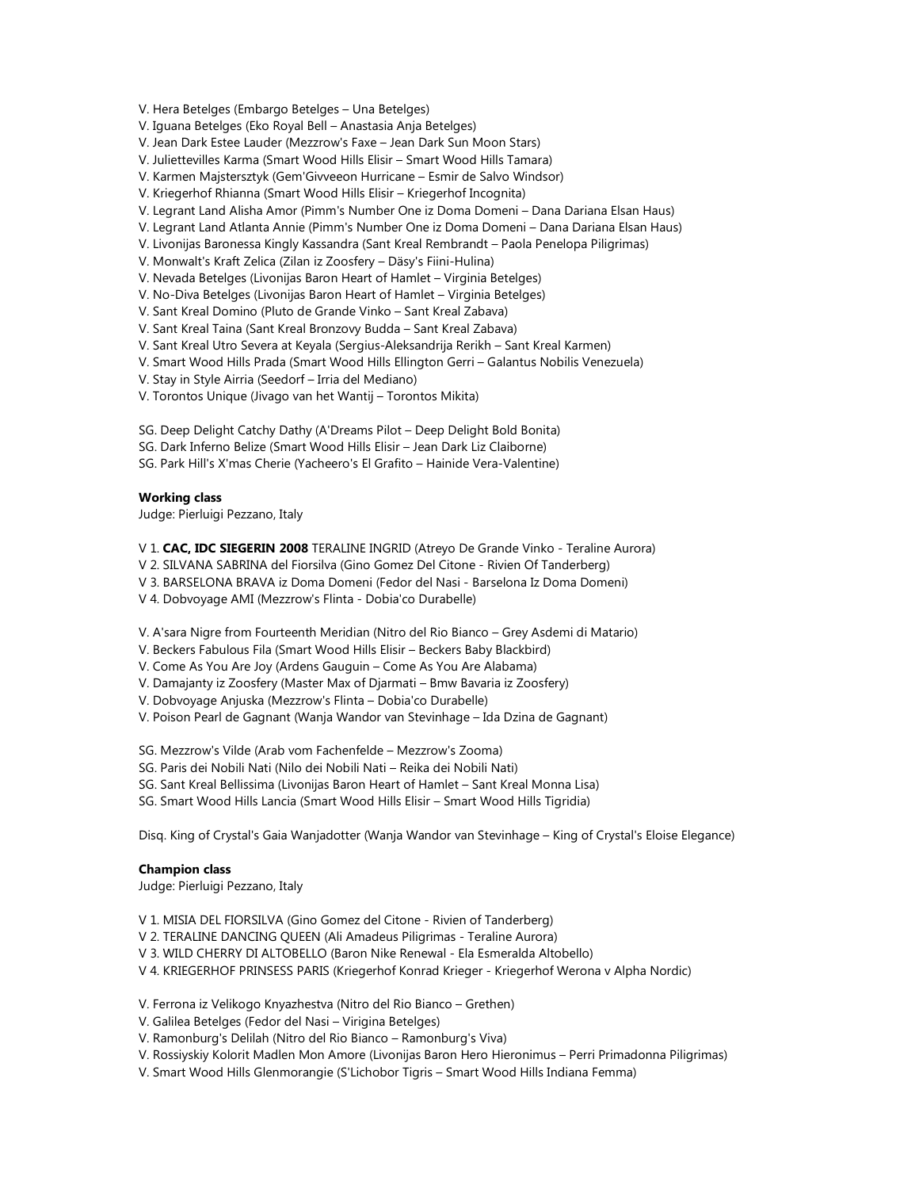V. Hera Betelges (Embargo Betelges – Una Betelges)

V. Iguana Betelges (Eko Royal Bell – Anastasia Anja Betelges)

V. Jean Dark Estee Lauder (Mezzrow's Faxe – Jean Dark Sun Moon Stars)

V. Juliettevilles Karma (Smart Wood Hills Elisir – Smart Wood Hills Tamara)

V. Karmen Majstersztyk (Gem'Givveeon Hurricane – Esmir de Salvo Windsor)

V. Kriegerhof Rhianna (Smart Wood Hills Elisir – Kriegerhof Incognita)

V. Legrant Land Alisha Amor (Pimm's Number One iz Doma Domeni – Dana Dariana Elsan Haus)

V. Legrant Land Atlanta Annie (Pimm's Number One iz Doma Domeni – Dana Dariana Elsan Haus)

V. Livonijas Baronessa Kingly Kassandra (Sant Kreal Rembrandt – Paola Penelopa Piligrimas)

V. Monwalt's Kraft Zelica (Zilan iz Zoosfery – Däsy's Fiini-Hulina)

V. Nevada Betelges (Livonijas Baron Heart of Hamlet – Virginia Betelges)

V. No-Diva Betelges (Livonijas Baron Heart of Hamlet – Virginia Betelges)

V. Sant Kreal Domino (Pluto de Grande Vinko – Sant Kreal Zabava)

V. Sant Kreal Taina (Sant Kreal Bronzovy Budda – Sant Kreal Zabava)

V. Sant Kreal Utro Severa at Keyala (Sergius-Aleksandrija Rerikh – Sant Kreal Karmen)

V. Smart Wood Hills Prada (Smart Wood Hills Ellington Gerri – Galantus Nobilis Venezuela)

V. Stay in Style Airria (Seedorf – Irria del Mediano)

V. Torontos Unique (Jivago van het Wantij – Torontos Mikita)

SG. Deep Delight Catchy Dathy (A'Dreams Pilot – Deep Delight Bold Bonita)

SG. Dark Inferno Belize (Smart Wood Hills Elisir – Jean Dark Liz Claiborne)

SG. Park Hill's X'mas Cherie (Yacheero's El Grafito – Hainide Vera-Valentine)

# **Working class**

Judge: Pierluigi Pezzano, Italy

V 1. **CAC, IDC SIEGERIN 2008** TERALINE INGRID (Atreyo De Grande Vinko - Teraline Aurora)

V 2. SILVANA SABRINA del Fiorsilva (Gino Gomez Del Citone - Rivien Of Tanderberg)

V 3. BARSELONA BRAVA iz Doma Domeni (Fedor del Nasi - Barselona Iz Doma Domeni)

V 4. Dobvoyage AMI (Mezzrow's Flinta - Dobia'co Durabelle)

V. A'sara Nigre from Fourteenth Meridian (Nitro del Rio Bianco – Grey Asdemi di Matario)

V. Beckers Fabulous Fila (Smart Wood Hills Elisir – Beckers Baby Blackbird)

V. Come As You Are Joy (Ardens Gauguin – Come As You Are Alabama)

V. Damajanty iz Zoosfery (Master Max of Djarmati – Bmw Bavaria iz Zoosfery)

V. Dobvoyage Anjuska (Mezzrow's Flinta – Dobia'co Durabelle)

V. Poison Pearl de Gagnant (Wanja Wandor van Stevinhage – Ida Dzina de Gagnant)

SG. Mezzrow's Vilde (Arab vom Fachenfelde – Mezzrow's Zooma)

SG. Paris dei Nobili Nati (Nilo dei Nobili Nati – Reika dei Nobili Nati)

SG. Sant Kreal Bellissima (Livonijas Baron Heart of Hamlet – Sant Kreal Monna Lisa)

SG. Smart Wood Hills Lancia (Smart Wood Hills Elisir – Smart Wood Hills Tigridia)

Disq. King of Crystal's Gaia Wanjadotter (Wanja Wandor van Stevinhage – King of Crystal's Eloise Elegance)

### **Champion class**

Judge: Pierluigi Pezzano, Italy

V 1. MISIA DEL FIORSILVA (Gino Gomez del Citone - Rivien of Tanderberg)

V 2. TERALINE DANCING QUEEN (Ali Amadeus Piligrimas - Teraline Aurora)

V 3. WILD CHERRY DI ALTOBELLO (Baron Nike Renewal - Ela Esmeralda Altobello)

V 4. KRIEGERHOF PRINSESS PARIS (Kriegerhof Konrad Krieger - Kriegerhof Werona v Alpha Nordic)

V. Ferrona iz Velikogo Knyazhestva (Nitro del Rio Bianco – Grethen)

V. Galilea Betelges (Fedor del Nasi – Virigina Betelges)

V. Ramonburg's Delilah (Nitro del Rio Bianco – Ramonburg's Viva)

V. Rossiyskiy Kolorit Madlen Mon Amore (Livonijas Baron Hero Hieronimus – Perri Primadonna Piligrimas)

V. Smart Wood Hills Glenmorangie (S'Lichobor Tigris – Smart Wood Hills Indiana Femma)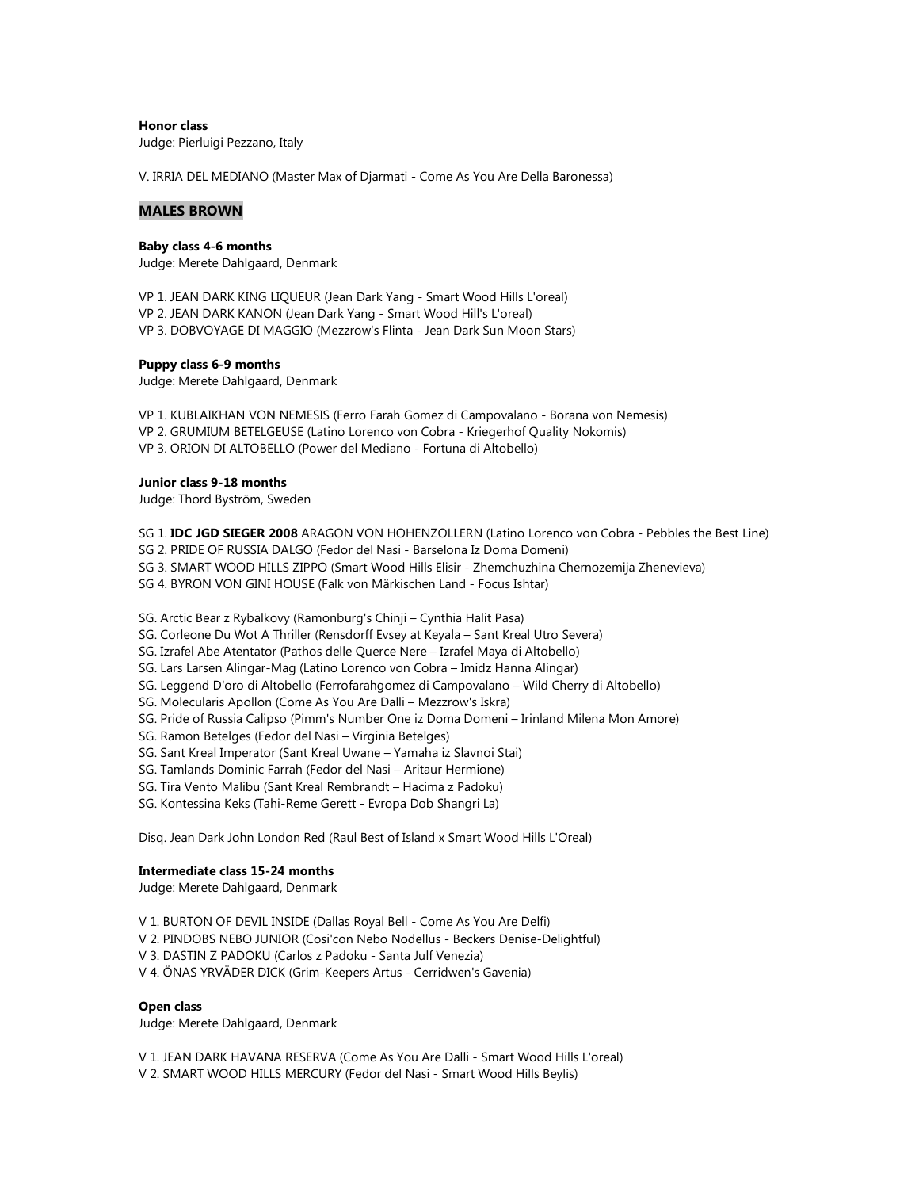**Honor class** 

Judge: Pierluigi Pezzano, Italy

V. IRRIA DEL MEDIANO (Master Max of Djarmati - Come As You Are Della Baronessa)

## **MALES BROWN**

#### **Baby class 4-6 months**

Judge: Merete Dahlgaard, Denmark

VP 1. JEAN DARK KING LIQUEUR (Jean Dark Yang - Smart Wood Hills L'oreal) VP 2. JEAN DARK KANON (Jean Dark Yang - Smart Wood Hill's L'oreal) VP 3. DOBVOYAGE DI MAGGIO (Mezzrow's Flinta - Jean Dark Sun Moon Stars)

### **Puppy class 6-9 months**

Judge: Merete Dahlgaard, Denmark

VP 1. KUBLAIKHAN VON NEMESIS (Ferro Farah Gomez di Campovalano - Borana von Nemesis) VP 2. GRUMIUM BETELGEUSE (Latino Lorenco von Cobra - Kriegerhof Quality Nokomis) VP 3. ORION DI ALTOBELLO (Power del Mediano - Fortuna di Altobello)

#### **Junior class 9-18 months**

Judge: Thord Byström, Sweden

- SG 1. **IDC JGD SIEGER 2008** ARAGON VON HOHENZOLLERN (Latino Lorenco von Cobra Pebbles the Best Line)
- SG 2. PRIDE OF RUSSIA DALGO (Fedor del Nasi Barselona Iz Doma Domeni)
- SG 3. SMART WOOD HILLS ZIPPO (Smart Wood Hills Elisir Zhemchuzhina Chernozemija Zhenevieva)
- SG 4. BYRON VON GINI HOUSE (Falk von Märkischen Land Focus Ishtar)

SG. Arctic Bear z Rybalkovy (Ramonburg's Chinji – Cynthia Halit Pasa)

- SG. Corleone Du Wot A Thriller (Rensdorff Evsey at Keyala Sant Kreal Utro Severa)
- SG. Izrafel Abe Atentator (Pathos delle Querce Nere Izrafel Maya di Altobello)
- SG. Lars Larsen Alingar-Mag (Latino Lorenco von Cobra Imidz Hanna Alingar)
- SG. Leggend D'oro di Altobello (Ferrofarahgomez di Campovalano Wild Cherry di Altobello)
- SG. Molecularis Apollon (Come As You Are Dalli Mezzrow's Iskra)
- SG. Pride of Russia Calipso (Pimm's Number One iz Doma Domeni Irinland Milena Mon Amore)
- SG. Ramon Betelges (Fedor del Nasi Virginia Betelges)
- SG. Sant Kreal Imperator (Sant Kreal Uwane Yamaha iz Slavnoi Stai)
- SG. Tamlands Dominic Farrah (Fedor del Nasi Aritaur Hermione)
- SG. Tira Vento Malibu (Sant Kreal Rembrandt Hacima z Padoku)
- SG. Kontessina Keks (Tahi-Reme Gerett Evropa Dob Shangri La)

Disq. Jean Dark John London Red (Raul Best of Island x Smart Wood Hills L'Oreal)

#### **Intermediate class 15-24 months**

Judge: Merete Dahlgaard, Denmark

- V 1. BURTON OF DEVIL INSIDE (Dallas Royal Bell Come As You Are Delfi)
- V 2. PINDOBS NEBO JUNIOR (Cosi'con Nebo Nodellus Beckers Denise-Delightful)
- V 3. DASTIN Z PADOKU (Carlos z Padoku Santa Julf Venezia)
- V 4. ÖNAS YRVÄDER DICK (Grim-Keepers Artus Cerridwen's Gavenia)

#### **Open class**

Judge: Merete Dahlgaard, Denmark

V 1. JEAN DARK HAVANA RESERVA (Come As You Are Dalli - Smart Wood Hills L'oreal) V 2. SMART WOOD HILLS MERCURY (Fedor del Nasi - Smart Wood Hills Beylis)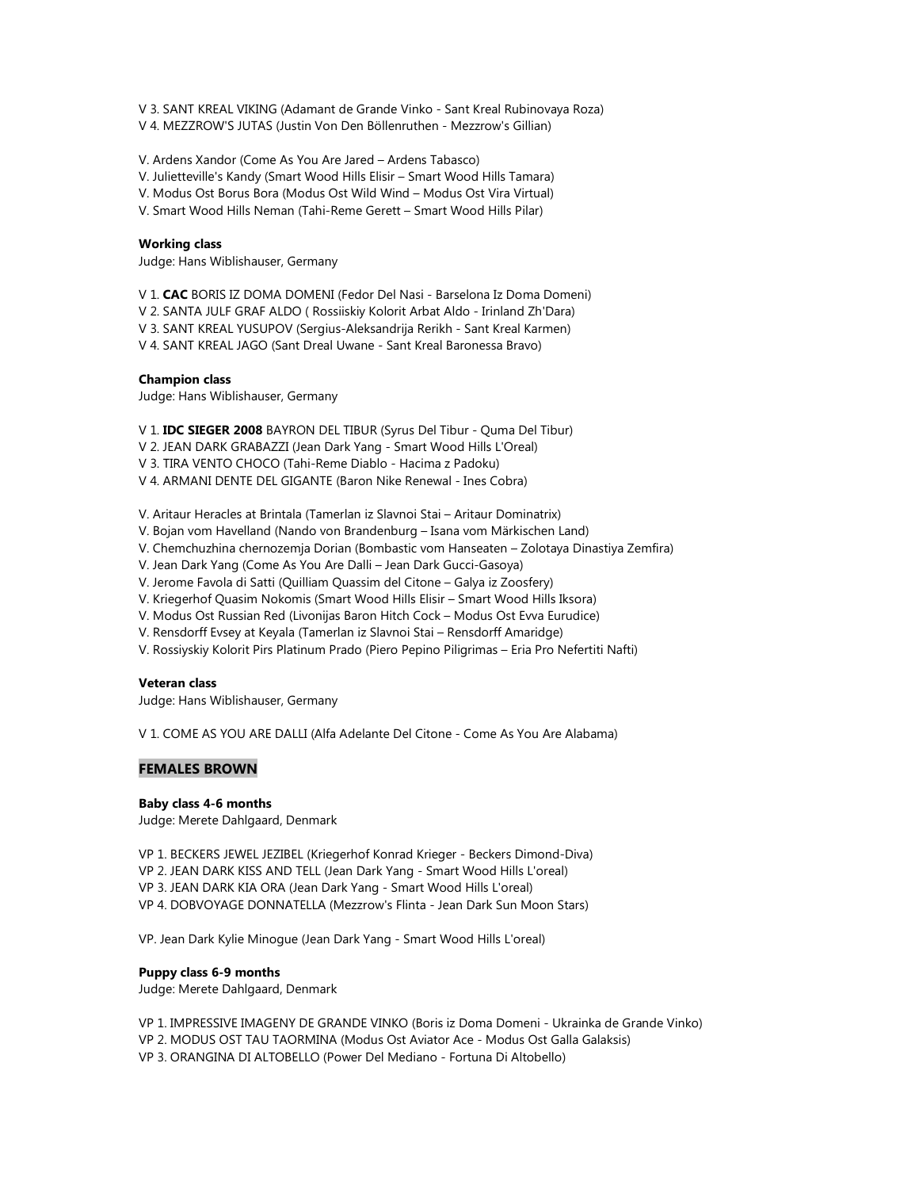V 3. SANT KREAL VIKING (Adamant de Grande Vinko - Sant Kreal Rubinovaya Roza) V 4. MEZZROW'S JUTAS (Justin Von Den Böllenruthen - Mezzrow's Gillian)

V. Ardens Xandor (Come As You Are Jared – Ardens Tabasco)

V. Julietteville's Kandy (Smart Wood Hills Elisir – Smart Wood Hills Tamara)

V. Modus Ost Borus Bora (Modus Ost Wild Wind – Modus Ost Vira Virtual)

V. Smart Wood Hills Neman (Tahi-Reme Gerett – Smart Wood Hills Pilar)

# **Working class**

Judge: Hans Wiblishauser, Germany

V 1. **CAC** BORIS IZ DOMA DOMENI (Fedor Del Nasi - Barselona Iz Doma Domeni)

V 2. SANTA JULF GRAF ALDO ( Rossiiskiy Kolorit Arbat Aldo - Irinland Zh'Dara)

V 3. SANT KREAL YUSUPOV (Sergius-Aleksandrija Rerikh - Sant Kreal Karmen)

V 4. SANT KREAL JAGO (Sant Dreal Uwane - Sant Kreal Baronessa Bravo)

# **Champion class**

Judge: Hans Wiblishauser, Germany

V 1. **IDC SIEGER 2008** BAYRON DEL TIBUR (Syrus Del Tibur - Quma Del Tibur)

V 2. JEAN DARK GRABAZZI (Jean Dark Yang - Smart Wood Hills L'Oreal)

V 3. TIRA VENTO CHOCO (Tahi-Reme Diablo - Hacima z Padoku)

V 4. ARMANI DENTE DEL GIGANTE (Baron Nike Renewal - Ines Cobra)

V. Aritaur Heracles at Brintala (Tamerlan iz Slavnoi Stai – Aritaur Dominatrix)

V. Bojan vom Havelland (Nando von Brandenburg – Isana vom Märkischen Land)

V. Chemchuzhina chernozemja Dorian (Bombastic vom Hanseaten – Zolotaya Dinastiya Zemfira)

V. Jean Dark Yang (Come As You Are Dalli – Jean Dark Gucci-Gasoya)

V. Jerome Favola di Satti (Quilliam Quassim del Citone – Galya iz Zoosfery)

V. Kriegerhof Quasim Nokomis (Smart Wood Hills Elisir – Smart Wood Hills Iksora)

V. Modus Ost Russian Red (Livonijas Baron Hitch Cock – Modus Ost Evva Eurudice)

V. Rensdorff Evsey at Keyala (Tamerlan iz Slavnoi Stai – Rensdorff Amaridge)

V. Rossiyskiy Kolorit Pirs Platinum Prado (Piero Pepino Piligrimas – Eria Pro Nefertiti Nafti)

# **Veteran class**

Judge: Hans Wiblishauser, Germany

V 1. COME AS YOU ARE DALLI (Alfa Adelante Del Citone - Come As You Are Alabama)

# **FEMALES BROWN**

#### **Baby class 4-6 months**

Judge: Merete Dahlgaard, Denmark

VP 1. BECKERS JEWEL JEZIBEL (Kriegerhof Konrad Krieger - Beckers Dimond-Diva) VP 2. JEAN DARK KISS AND TELL (Jean Dark Yang - Smart Wood Hills L'oreal) VP 3. JEAN DARK KIA ORA (Jean Dark Yang - Smart Wood Hills L'oreal) VP 4. DOBVOYAGE DONNATELLA (Mezzrow's Flinta - Jean Dark Sun Moon Stars)

VP. Jean Dark Kylie Minogue (Jean Dark Yang - Smart Wood Hills L'oreal)

# **Puppy class 6-9 months**

Judge: Merete Dahlgaard, Denmark

VP 1. IMPRESSIVE IMAGENY DE GRANDE VINKO (Boris iz Doma Domeni - Ukrainka de Grande Vinko) VP 2. MODUS OST TAU TAORMINA (Modus Ost Aviator Ace - Modus Ost Galla Galaksis) VP 3. ORANGINA DI ALTOBELLO (Power Del Mediano - Fortuna Di Altobello)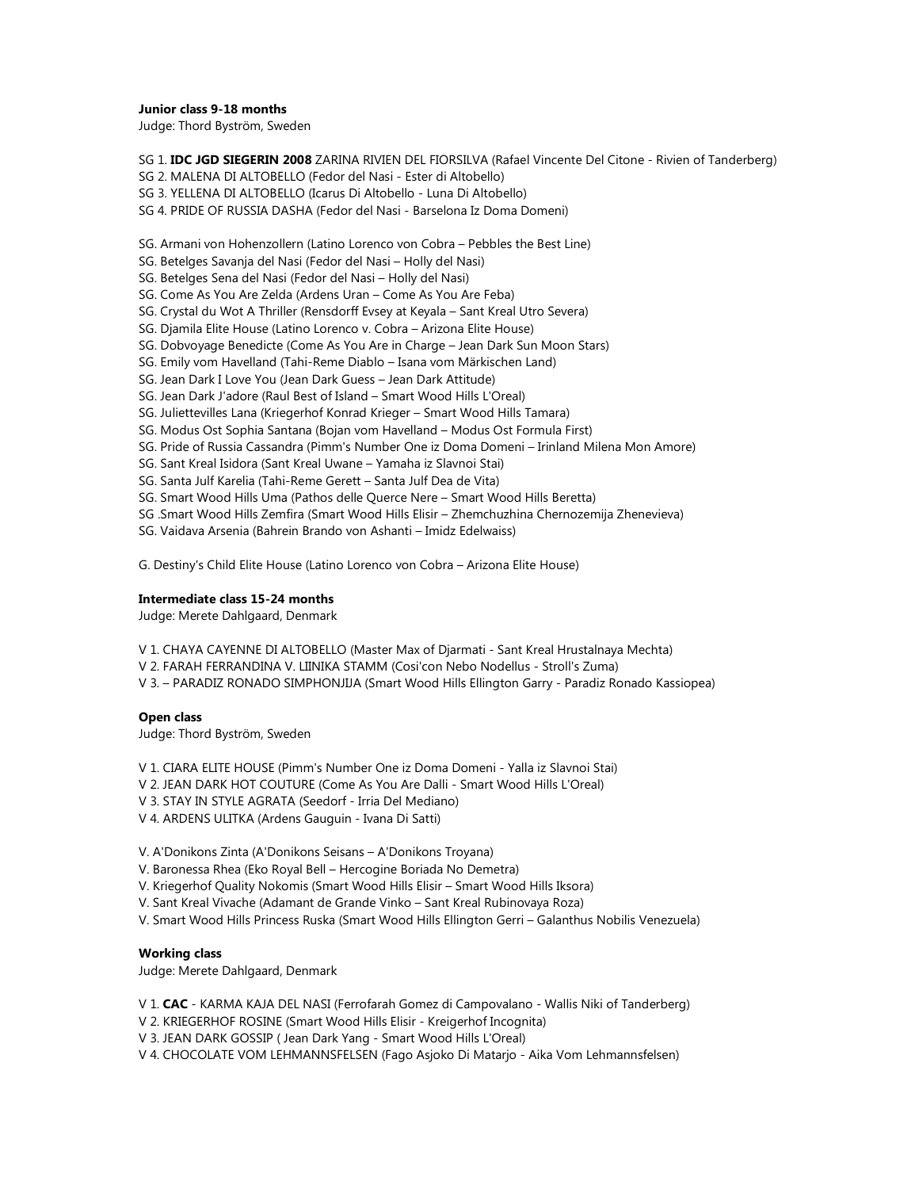#### **Junior class 9-18 months**

Judge: Thord Byström, Sweden

SG 1. **IDC JGD SIEGERIN 2008** ZARINA RIVIEN DEL FIORSILVA (Rafael Vincente Del Citone - Rivien of Tanderberg)

SG 2. MALENA DI ALTOBELLO (Fedor del Nasi - Ester di Altobello)

SG 3. YELLENA DI ALTOBELLO (Icarus Di Altobello - Luna Di Altobello)

SG 4. PRIDE OF RUSSIA DASHA (Fedor del Nasi - Barselona Iz Doma Domeni)

SG. Armani von Hohenzollern (Latino Lorenco von Cobra – Pebbles the Best Line)

- SG. Betelges Savanja del Nasi (Fedor del Nasi Holly del Nasi)
- SG. Betelges Sena del Nasi (Fedor del Nasi Holly del Nasi)

SG. Come As You Are Zelda (Ardens Uran – Come As You Are Feba)

SG. Crystal du Wot A Thriller (Rensdorff Evsey at Keyala – Sant Kreal Utro Severa)

SG. Djamila Elite House (Latino Lorenco v. Cobra – Arizona Elite House)

SG. Dobvoyage Benedicte (Come As You Are in Charge – Jean Dark Sun Moon Stars)

SG. Emily vom Havelland (Tahi-Reme Diablo – Isana vom Märkischen Land)

SG. Jean Dark I Love You (Jean Dark Guess – Jean Dark Attitude)

SG. Jean Dark J'adore (Raul Best of Island – Smart Wood Hills L'Oreal)

SG. Juliettevilles Lana (Kriegerhof Konrad Krieger – Smart Wood Hills Tamara)

- SG. Modus Ost Sophia Santana (Bojan vom Havelland Modus Ost Formula First)
- SG. Pride of Russia Cassandra (Pimm's Number One iz Doma Domeni Irinland Milena Mon Amore)
- SG. Sant Kreal Isidora (Sant Kreal Uwane Yamaha iz Slavnoi Stai)
- SG. Santa Julf Karelia (Tahi-Reme Gerett Santa Julf Dea de Vita)
- SG. Smart Wood Hills Uma (Pathos delle Querce Nere Smart Wood Hills Beretta)
- SG .Smart Wood Hills Zemfira (Smart Wood Hills Elisir Zhemchuzhina Chernozemija Zhenevieva)
- SG. Vaidava Arsenia (Bahrein Brando von Ashanti Imidz Edelwaiss)

G. Destiny's Child Elite House (Latino Lorenco von Cobra – Arizona Elite House)

#### **Intermediate class 15-24 months**

Judge: Merete Dahlgaard, Denmark

V 1. CHAYA CAYENNE DI ALTOBELLO (Master Max of Djarmati - Sant Kreal Hrustalnaya Mechta)

V 2. FARAH FERRANDINA V. LIINIKA STAMM (Cosi'con Nebo Nodellus - Stroll's Zuma)

V 3. – PARADIZ RONADO SIMPHONJIJA (Smart Wood Hills Ellington Garry - Paradiz Ronado Kassiopea)

# **Open class**

Judge: Thord Byström, Sweden

V 1. CIARA ELITE HOUSE (Pimm's Number One iz Doma Domeni - Yalla iz Slavnoi Stai)

V 2. JEAN DARK HOT COUTURE (Come As You Are Dalli - Smart Wood Hills L'Oreal)

V 3. STAY IN STYLE AGRATA (Seedorf - Irria Del Mediano)

V 4. ARDENS ULITKA (Ardens Gauguin - Ivana Di Satti)

V. A'Donikons Zinta (A'Donikons Seisans – A'Donikons Troyana)

- V. Baronessa Rhea (Eko Royal Bell Hercogine Boriada No Demetra)
- V. Kriegerhof Quality Nokomis (Smart Wood Hills Elisir Smart Wood Hills Iksora)
- V. Sant Kreal Vivache (Adamant de Grande Vinko Sant Kreal Rubinovaya Roza)
- V. Smart Wood Hills Princess Ruska (Smart Wood Hills Ellington Gerri Galanthus Nobilis Venezuela)

#### **Working class**

Judge: Merete Dahlgaard, Denmark

- V 1. **CAC** KARMA KAJA DEL NASI (Ferrofarah Gomez di Campovalano Wallis Niki of Tanderberg)
- V 2. KRIEGERHOF ROSINE (Smart Wood Hills Elisir Kreigerhof Incognita)
- V 3. JEAN DARK GOSSIP ( Jean Dark Yang Smart Wood Hills L'Oreal)

V 4. CHOCOLATE VOM LEHMANNSFELSEN (Fago Asjoko Di Matarjo - Aika Vom Lehmannsfelsen)